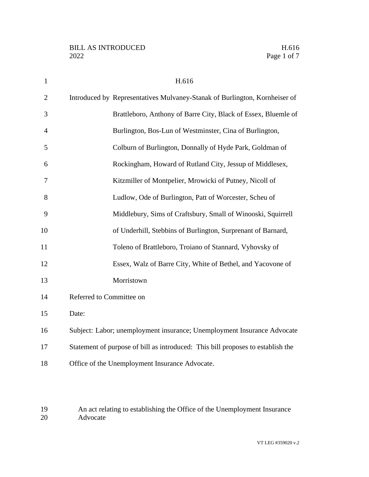| $\mathbf{1}$   | H.616                                                                           |
|----------------|---------------------------------------------------------------------------------|
| $\overline{2}$ | Introduced by Representatives Mulvaney-Stanak of Burlington, Kornheiser of      |
| 3              | Brattleboro, Anthony of Barre City, Black of Essex, Bluemle of                  |
| $\overline{4}$ | Burlington, Bos-Lun of Westminster, Cina of Burlington,                         |
| 5              | Colburn of Burlington, Donnally of Hyde Park, Goldman of                        |
| 6              | Rockingham, Howard of Rutland City, Jessup of Middlesex,                        |
| $\overline{7}$ | Kitzmiller of Montpelier, Mrowicki of Putney, Nicoll of                         |
| 8              | Ludlow, Ode of Burlington, Patt of Worcester, Scheu of                          |
| 9              | Middlebury, Sims of Craftsbury, Small of Winooski, Squirrell                    |
| 10             | of Underhill, Stebbins of Burlington, Surprenant of Barnard,                    |
| 11             | Toleno of Brattleboro, Troiano of Stannard, Vyhovsky of                         |
| 12             | Essex, Walz of Barre City, White of Bethel, and Yacovone of                     |
| 13             | Morristown                                                                      |
| 14             | Referred to Committee on                                                        |
| 15             | Date:                                                                           |
| 16             | Subject: Labor; unemployment insurance; Unemployment Insurance Advocate         |
| 17             | Statement of purpose of bill as introduced: This bill proposes to establish the |
| 18             | Office of the Unemployment Insurance Advocate.                                  |

 An act relating to establishing the Office of the Unemployment Insurance Advocate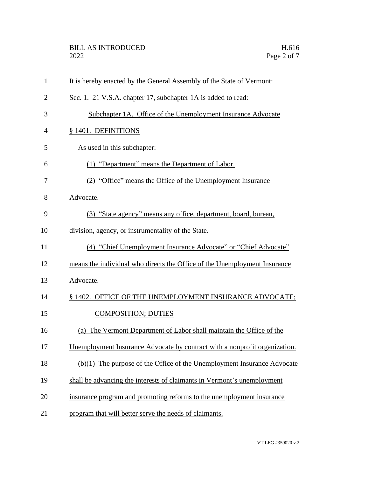| $\mathbf{1}$   | It is hereby enacted by the General Assembly of the State of Vermont:      |
|----------------|----------------------------------------------------------------------------|
| $\overline{2}$ | Sec. 1. 21 V.S.A. chapter 17, subchapter 1A is added to read:              |
| 3              | Subchapter 1A. Office of the Unemployment Insurance Advocate               |
| 4              | § 1401. DEFINITIONS                                                        |
| 5              | As used in this subchapter:                                                |
| 6              | (1) "Department" means the Department of Labor.                            |
| 7              | (2) "Office" means the Office of the Unemployment Insurance                |
| 8              | Advocate.                                                                  |
| 9              | (3) "State agency" means any office, department, board, bureau,            |
| 10             | division, agency, or instrumentality of the State.                         |
| 11             | (4) "Chief Unemployment Insurance Advocate" or "Chief Advocate"            |
| 12             | means the individual who directs the Office of the Unemployment Insurance  |
| 13             | Advocate.                                                                  |
| 14             | § 1402. OFFICE OF THE UNEMPLOYMENT INSURANCE ADVOCATE;                     |
| 15             | <b>COMPOSITION; DUTIES</b>                                                 |
| 16             | (a) The Vermont Department of Labor shall maintain the Office of the       |
| 17             | Unemployment Insurance Advocate by contract with a nonprofit organization. |
| 18             | $(b)(1)$ The purpose of the Office of the Unemployment Insurance Advocate  |
| 19             | shall be advancing the interests of claimants in Vermont's unemployment    |
| 20             | insurance program and promoting reforms to the unemployment insurance      |
| 21             | program that will better serve the needs of claimants.                     |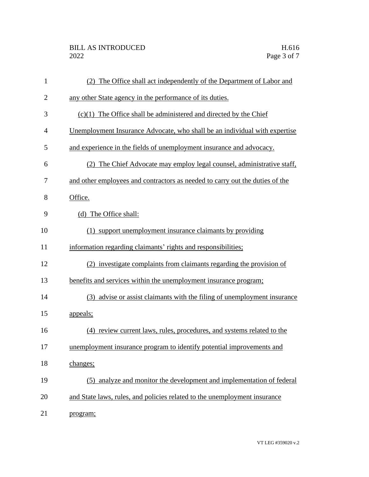| $\mathbf{1}$ | (2) The Office shall act independently of the Department of Labor and        |
|--------------|------------------------------------------------------------------------------|
| $\mathbf{2}$ | any other State agency in the performance of its duties.                     |
| 3            | $(c)(1)$ The Office shall be administered and directed by the Chief          |
| 4            | Unemployment Insurance Advocate, who shall be an individual with expertise   |
| 5            | and experience in the fields of unemployment insurance and advocacy.         |
| 6            | (2) The Chief Advocate may employ legal counsel, administrative staff,       |
| 7            | and other employees and contractors as needed to carry out the duties of the |
| 8            | Office.                                                                      |
| 9            | (d) The Office shall:                                                        |
| 10           | (1) support unemployment insurance claimants by providing                    |
| 11           | information regarding claimants' rights and responsibilities;                |
| 12           | (2) investigate complaints from claimants regarding the provision of         |
| 13           | benefits and services within the unemployment insurance program;             |
| 14           | advise or assist claimants with the filing of unemployment insurance<br>(3)  |
| 15           | appeals;                                                                     |
| 16           | (4) review current laws, rules, procedures, and systems related to the       |
| 17           | unemployment insurance program to identify potential improvements and        |
| 18           | changes;                                                                     |
| 19           | analyze and monitor the development and implementation of federal<br>(5)     |
| 20           | and State laws, rules, and policies related to the unemployment insurance    |
| 21           | program;                                                                     |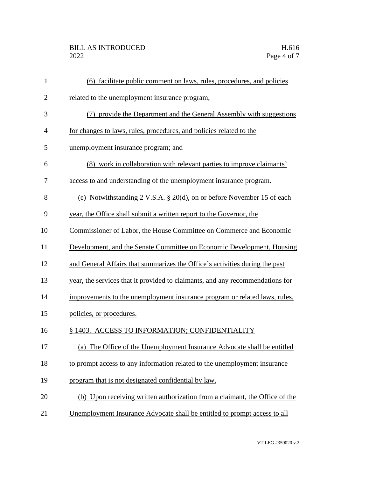| $\mathbf{1}$   | (6) facilitate public comment on laws, rules, procedures, and policies             |
|----------------|------------------------------------------------------------------------------------|
| $\mathbf{2}$   | related to the unemployment insurance program;                                     |
| 3              | (7) provide the Department and the General Assembly with suggestions               |
| $\overline{4}$ | for changes to laws, rules, procedures, and policies related to the                |
| 5              | unemployment insurance program; and                                                |
| 6              | (8) work in collaboration with relevant parties to improve claimants'              |
| 7              | access to and understanding of the unemployment insurance program.                 |
| 8              | (e) Notwithstanding $2 \text{ V.S.A. } § 20(d)$ , on or before November 15 of each |
| 9              | year, the Office shall submit a written report to the Governor, the                |
| 10             | Commissioner of Labor, the House Committee on Commerce and Economic                |
| 11             | Development, and the Senate Committee on Economic Development, Housing             |
| 12             | and General Affairs that summarizes the Office's activities during the past        |
| 13             | year, the services that it provided to claimants, and any recommendations for      |
| 14             | improvements to the unemployment insurance program or related laws, rules,         |
| 15             | policies, or procedures.                                                           |
| 16             | § 1403. ACCESS TO INFORMATION; CONFIDENTIALITY                                     |
| 17             | (a) The Office of the Unemployment Insurance Advocate shall be entitled            |
| 18             | to prompt access to any information related to the unemployment insurance          |
| 19             | program that is not designated confidential by law.                                |
| 20             | (b) Upon receiving written authorization from a claimant, the Office of the        |
| 21             | Unemployment Insurance Advocate shall be entitled to prompt access to all          |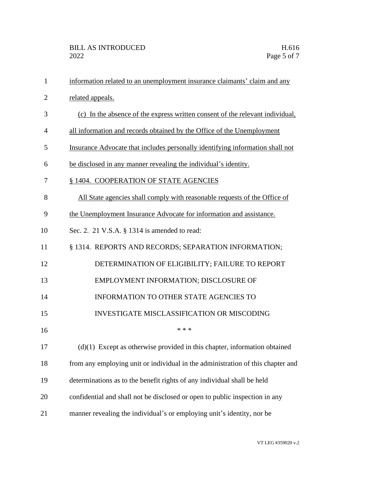| $\mathbf{1}$   | information related to an unemployment insurance claimants' claim and any       |
|----------------|---------------------------------------------------------------------------------|
| $\overline{2}$ | related appeals.                                                                |
| 3              | (c) In the absence of the express written consent of the relevant individual,   |
| $\overline{4}$ | all information and records obtained by the Office of the Unemployment          |
| 5              | Insurance Advocate that includes personally identifying information shall not   |
| 6              | be disclosed in any manner revealing the individual's identity.                 |
| 7              | § 1404. COOPERATION OF STATE AGENCIES                                           |
| 8              | All State agencies shall comply with reasonable requests of the Office of       |
| 9              | the Unemployment Insurance Advocate for information and assistance.             |
| 10             | Sec. 2. 21 V.S.A. § 1314 is amended to read:                                    |
| 11             | § 1314. REPORTS AND RECORDS; SEPARATION INFORMATION;                            |
| 12             | DETERMINATION OF ELIGIBILITY; FAILURE TO REPORT                                 |
| 13             | EMPLOYMENT INFORMATION; DISCLOSURE OF                                           |
| 14             | <b>INFORMATION TO OTHER STATE AGENCIES TO</b>                                   |
| 15             | <b>INVESTIGATE MISCLASSIFICATION OR MISCODING</b>                               |
| 16             | * * *                                                                           |
| 17             | $(d)(1)$ Except as otherwise provided in this chapter, information obtained     |
| 18             | from any employing unit or individual in the administration of this chapter and |
| 19             | determinations as to the benefit rights of any individual shall be held         |
| 20             | confidential and shall not be disclosed or open to public inspection in any     |
| 21             | manner revealing the individual's or employing unit's identity, nor be          |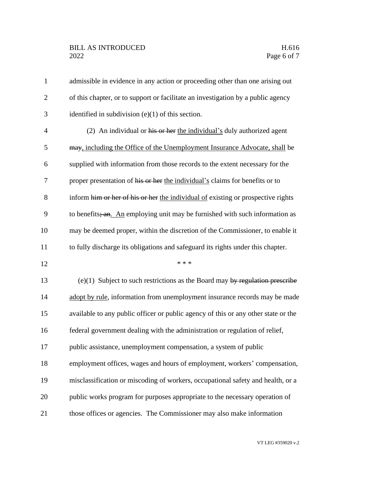## BILL AS INTRODUCED H.616<br>2022 Page 6 of 7

| $\mathbf{1}$   | admissible in evidence in any action or proceeding other than one arising out      |
|----------------|------------------------------------------------------------------------------------|
| $\overline{2}$ | of this chapter, or to support or facilitate an investigation by a public agency   |
| 3              | identified in subdivision $(e)(1)$ of this section.                                |
| $\overline{4}$ | (2) An individual or his or her the individual's duly authorized agent             |
| 5              | may, including the Office of the Unemployment Insurance Advocate, shall be         |
| 6              | supplied with information from those records to the extent necessary for the       |
| 7              | proper presentation of his or her the individual's claims for benefits or to       |
| 8              | inform him or her of his or her the individual of existing or prospective rights   |
| 9              | to benefits; an. An employing unit may be furnished with such information as       |
| 10             | may be deemed proper, within the discretion of the Commissioner, to enable it      |
| 11             | to fully discharge its obligations and safeguard its rights under this chapter.    |
| 12             | * * *                                                                              |
| 13             | $(e)(1)$ Subject to such restrictions as the Board may by regulation prescribe     |
| 14             | adopt by rule, information from unemployment insurance records may be made         |
| 15             | available to any public officer or public agency of this or any other state or the |
| 16             | federal government dealing with the administration or regulation of relief,        |
| 17             | public assistance, unemployment compensation, a system of public                   |
|                |                                                                                    |
| 18             | employment offices, wages and hours of employment, workers' compensation,          |
| 19             | misclassification or miscoding of workers, occupational safety and health, or a    |
| 20             | public works program for purposes appropriate to the necessary operation of        |